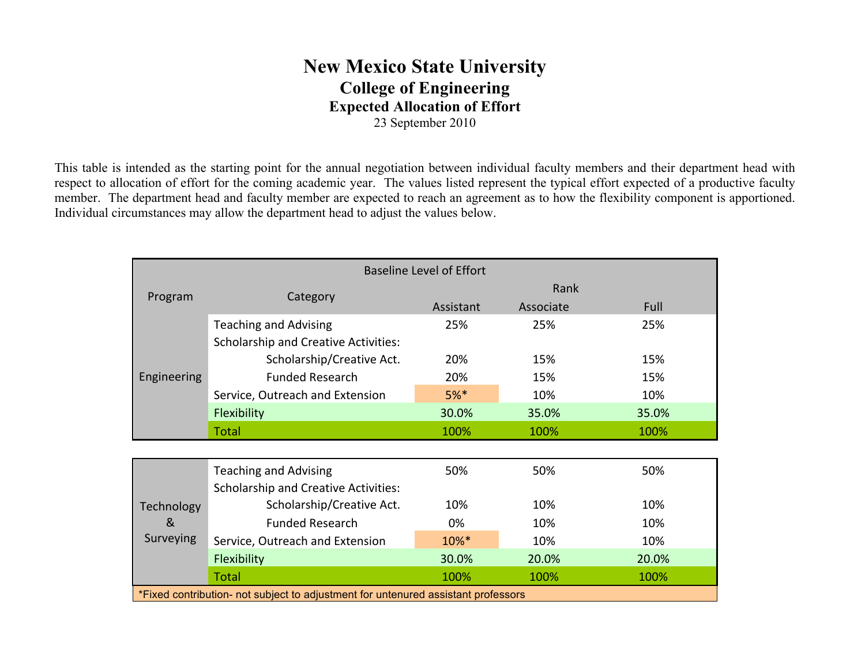# **New Mexico State University College of Engineering Expected Allocation of Effort** 23 September 2010

This table is intended as the starting point for the annual negotiation between individual faculty members and their department head with respect to allocation of effort for the coming academic year. The values listed represent the typical effort expected of a productive faculty member. The department head and faculty member are expected to reach an agreement as to how the flexibility component is apportioned. Individual circumstances may allow the department head to adjust the values below.

| <b>Baseline Level of Effort</b>                                                   |                                             |           |           |       |  |
|-----------------------------------------------------------------------------------|---------------------------------------------|-----------|-----------|-------|--|
| Program                                                                           | Category                                    | Rank      |           |       |  |
|                                                                                   |                                             | Assistant | Associate | Full  |  |
| Engineering                                                                       | <b>Teaching and Advising</b>                | 25%       | 25%       | 25%   |  |
|                                                                                   | <b>Scholarship and Creative Activities:</b> |           |           |       |  |
|                                                                                   | Scholarship/Creative Act.                   | 20%       | 15%       | 15%   |  |
|                                                                                   | <b>Funded Research</b>                      | 20%       | 15%       | 15%   |  |
|                                                                                   | Service, Outreach and Extension             | $5%$ *    | 10%       | 10%   |  |
|                                                                                   | <b>Flexibility</b>                          | 30.0%     | 35.0%     | 35.0% |  |
|                                                                                   | <b>Total</b>                                | 100%      | 100%      | 100%  |  |
|                                                                                   |                                             |           |           |       |  |
| Technology<br>&<br>Surveying                                                      | <b>Teaching and Advising</b>                | 50%       | 50%       | 50%   |  |
|                                                                                   | <b>Scholarship and Creative Activities:</b> |           |           |       |  |
|                                                                                   | Scholarship/Creative Act.                   | 10%       | 10%       | 10%   |  |
|                                                                                   | <b>Funded Research</b>                      | 0%        | 10%       | 10%   |  |
|                                                                                   | Service, Outreach and Extension             | 10%*      | 10%       | 10%   |  |
|                                                                                   | Flexibility                                 | 30.0%     | 20.0%     | 20.0% |  |
|                                                                                   | <b>Total</b>                                | 100%      | 100%      | 100%  |  |
| *Fixed contribution- not subject to adjustment for untenured assistant professors |                                             |           |           |       |  |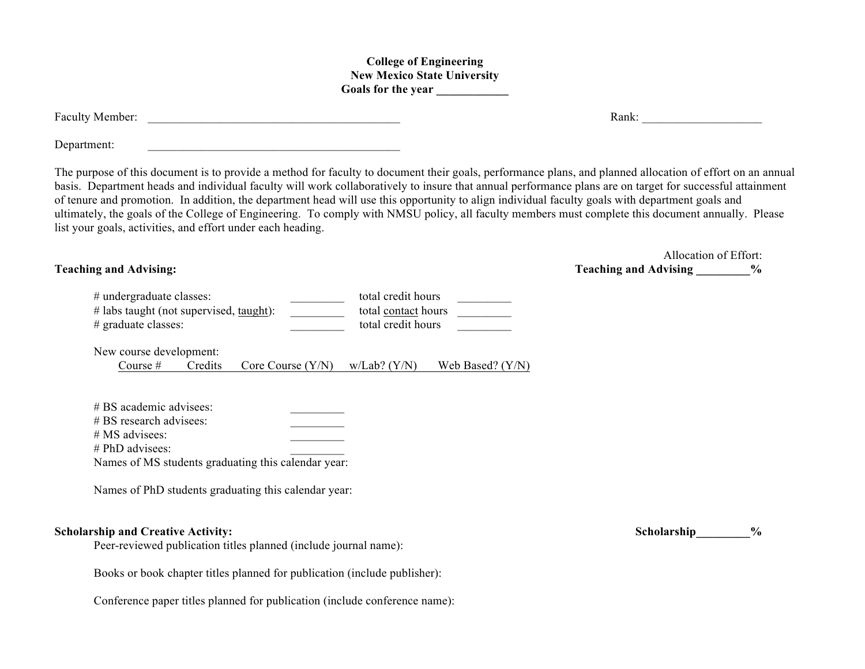### **College of Engineering New Mexico State University Goals for the year \_\_\_\_\_\_\_\_\_\_\_\_**

| Faculty Member: | Rank: |
|-----------------|-------|
|                 |       |

Department:

The purpose of this document is to provide a method for faculty to document their goals, performance plans, and planned allocation of effort on an annual basis. Department heads and individual faculty will work collaboratively to insure that annual performance plans are on target for successful attainment of tenure and promotion. In addition, the department head will use this opportunity to align individual faculty goals with department goals and ultimately, the goals of the College of Engineering. To comply with NMSU policy, all faculty members must complete this document annually. Please list your goals, activities, and effort under each heading.

| # undergraduate classes:                | total credit hours  |  |
|-----------------------------------------|---------------------|--|
| # labs taught (not supervised, taught): | total contact hours |  |
| # graduate classes:                     | total credit hours  |  |

New course development:

Course # Credits Core Course  $(Y/N)$  w/Lab?  $(Y/N)$  Web Based?  $(Y/N)$ 

| $# BS$ academic advisees:                           |  |
|-----------------------------------------------------|--|
| $# BS$ research advisees:                           |  |
| $# MS$ advisees:                                    |  |
| $# PhD$ advisees:                                   |  |
| Names of MS students graduating this calendar year: |  |

Names of PhD students graduating this calendar year:

## **Scholarship and Creative Activity:**  $\%$

Peer-reviewed publication titles planned (include journal name):

Books or book chapter titles planned for publication (include publisher):

Conference paper titles planned for publication (include conference name):

Allocation of Effort: **Teaching and Advising:**  $\%$